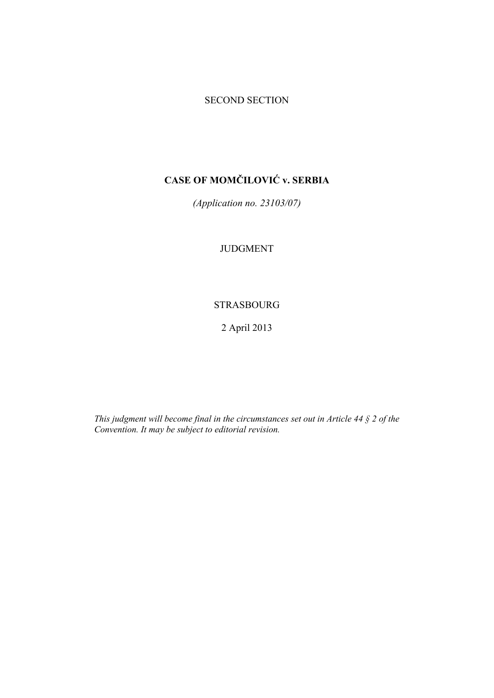## SECOND SECTION

# **CASE OF MOMČILOVIĆ v. SERBIA**

*(Application no. 23103/07)* 

JUDGMENT

# STRASBOURG

2 April 2013

*This judgment will become final in the circumstances set out in Article 44 § 2 of the Convention. It may be subject to editorial revision.*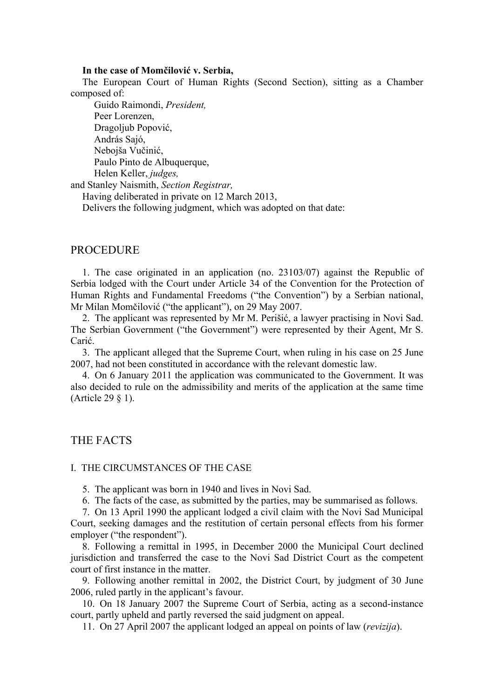#### **In the case of Momčilović v. Serbia,**

The European Court of Human Rights (Second Section), sitting as a Chamber composed of:

 Guido Raimondi, *President,*  Peer Lorenzen, Dragoljub Popović, András Sajó, Nebojša Vučinić, Paulo Pinto de Albuquerque, Helen Keller, *judges,* 

and Stanley Naismith, *Section Registrar,*

Having deliberated in private on 12 March 2013,

Delivers the following judgment, which was adopted on that date:

## PROCEDURE

1. The case originated in an application (no. 23103/07) against the Republic of Serbia lodged with the Court under Article 34 of the Convention for the Protection of Human Rights and Fundamental Freedoms ("the Convention") by a Serbian national, Mr Milan Momčilović ("the applicant"), on 29 May 2007.

2. The applicant was represented by Mr M. Perišić, a lawyer practising in Novi Sad. The Serbian Government ("the Government") were represented by their Agent, Mr S. Carić.

3. The applicant alleged that the Supreme Court, when ruling in his case on 25 June 2007, had not been constituted in accordance with the relevant domestic law.

4. On 6 January 2011 the application was communicated to the Government. It was also decided to rule on the admissibility and merits of the application at the same time (Article 29 § 1).

## THE FACTS

#### I. THE CIRCUMSTANCES OF THE CASE

5. The applicant was born in 1940 and lives in Novi Sad.

6. The facts of the case, as submitted by the parties, may be summarised as follows.

7. On 13 April 1990 the applicant lodged a civil claim with the Novi Sad Municipal Court, seeking damages and the restitution of certain personal effects from his former employer ("the respondent").

8. Following a remittal in 1995, in December 2000 the Municipal Court declined jurisdiction and transferred the case to the Novi Sad District Court as the competent court of first instance in the matter.

9. Following another remittal in 2002, the District Court, by judgment of 30 June 2006, ruled partly in the applicant's favour.

10. On 18 January 2007 the Supreme Court of Serbia, acting as a second-instance court, partly upheld and partly reversed the said judgment on appeal.

11. On 27 April 2007 the applicant lodged an appeal on points of law (*revizija*).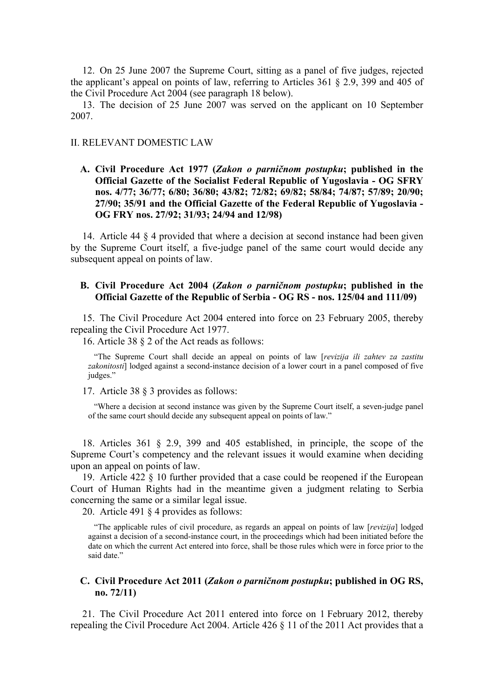12. On 25 June 2007 the Supreme Court, sitting as a panel of five judges, rejected the applicant's appeal on points of law, referring to Articles 361 § 2.9, 399 and 405 of the Civil Procedure Act 2004 (see paragraph 18 below).

13. The decision of 25 June 2007 was served on the applicant on 10 September 2007.

## II. RELEVANT DOMESTIC LAW

**A. Civil Procedure Act 1977 (***Zakon o parničnom postupku***; published in the Official Gazette of the Socialist Federal Republic of Yugoslavia - OG SFRY nos. 4/77; 36/77; 6/80; 36/80; 43/82; 72/82; 69/82; 58/84; 74/87; 57/89; 20/90; 27/90; 35/91 and the Official Gazette of the Federal Republic of Yugoslavia - OG FRY nos. 27/92; 31/93; 24/94 and 12/98)** 

14. Article 44 § 4 provided that where a decision at second instance had been given by the Supreme Court itself, a five-judge panel of the same court would decide any subsequent appeal on points of law.

#### **B. Civil Procedure Act 2004 (***Zakon o parničnom postupku***; published in the Official Gazette of the Republic of Serbia - OG RS - nos. 125/04 and 111/09)**

15. The Civil Procedure Act 2004 entered into force on 23 February 2005, thereby repealing the Civil Procedure Act 1977.

16. Article 38 § 2 of the Act reads as follows:

"The Supreme Court shall decide an appeal on points of law [*revizija ili zahtev za zastitu zakonitosti*] lodged against a second-instance decision of a lower court in a panel composed of five judges."

17. Article 38 § 3 provides as follows:

"Where a decision at second instance was given by the Supreme Court itself, a seven-judge panel of the same court should decide any subsequent appeal on points of law."

18. Articles 361 § 2.9, 399 and 405 established, in principle, the scope of the Supreme Court's competency and the relevant issues it would examine when deciding upon an appeal on points of law.

19. Article 422 § 10 further provided that a case could be reopened if the European Court of Human Rights had in the meantime given a judgment relating to Serbia concerning the same or a similar legal issue.

20. Article 491 § 4 provides as follows:

"The applicable rules of civil procedure, as regards an appeal on points of law [*revizija*] lodged against a decision of a second-instance court, in the proceedings which had been initiated before the date on which the current Act entered into force, shall be those rules which were in force prior to the said date."

## **C. Civil Procedure Act 2011 (***Zakon o parničnom postupku***; published in OG RS, no. 72/11)**

21. The Civil Procedure Act 2011 entered into force on 1 February 2012, thereby repealing the Civil Procedure Act 2004. Article 426 § 11 of the 2011 Act provides that a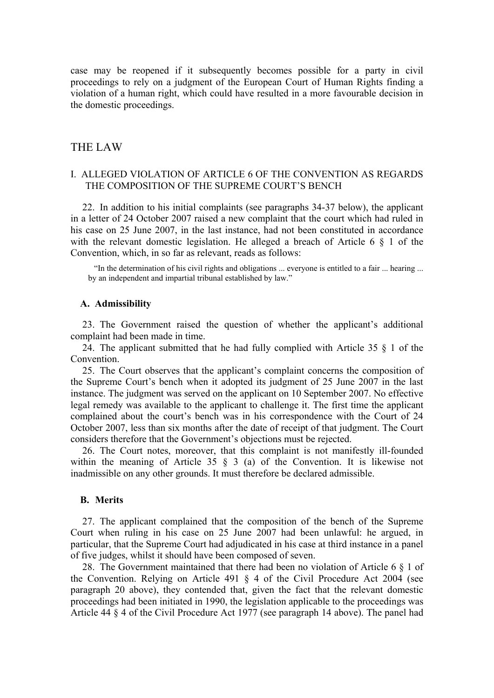case may be reopened if it subsequently becomes possible for a party in civil proceedings to rely on a judgment of the European Court of Human Rights finding a violation of a human right, which could have resulted in a more favourable decision in the domestic proceedings.

## THE LAW

## I. ALLEGED VIOLATION OF ARTICLE 6 OF THE CONVENTION AS REGARDS THE COMPOSITION OF THE SUPREME COURT'S BENCH

22. In addition to his initial complaints (see paragraphs 34-37 below), the applicant in a letter of 24 October 2007 raised a new complaint that the court which had ruled in his case on 25 June 2007, in the last instance, had not been constituted in accordance with the relevant domestic legislation. He alleged a breach of Article 6  $\S$  1 of the Convention, which, in so far as relevant, reads as follows:

"In the determination of his civil rights and obligations ... everyone is entitled to a fair ... hearing ... by an independent and impartial tribunal established by law."

#### **A. Admissibility**

23. The Government raised the question of whether the applicant's additional complaint had been made in time.

24. The applicant submitted that he had fully complied with Article 35 § 1 of the Convention.

25. The Court observes that the applicant's complaint concerns the composition of the Supreme Court's bench when it adopted its judgment of 25 June 2007 in the last instance. The judgment was served on the applicant on 10 September 2007. No effective legal remedy was available to the applicant to challenge it. The first time the applicant complained about the court's bench was in his correspondence with the Court of 24 October 2007, less than six months after the date of receipt of that judgment. The Court considers therefore that the Government's objections must be rejected.

26. The Court notes, moreover, that this complaint is not manifestly ill-founded within the meaning of Article 35  $\frac{8}{9}$  3 (a) of the Convention. It is likewise not inadmissible on any other grounds. It must therefore be declared admissible.

#### **B. Merits**

27. The applicant complained that the composition of the bench of the Supreme Court when ruling in his case on 25 June 2007 had been unlawful: he argued, in particular, that the Supreme Court had adjudicated in his case at third instance in a panel of five judges, whilst it should have been composed of seven.

28. The Government maintained that there had been no violation of Article 6 § 1 of the Convention. Relying on Article 491 § 4 of the Civil Procedure Act 2004 (see paragraph 20 above), they contended that, given the fact that the relevant domestic proceedings had been initiated in 1990, the legislation applicable to the proceedings was Article 44 § 4 of the Civil Procedure Act 1977 (see paragraph 14 above). The panel had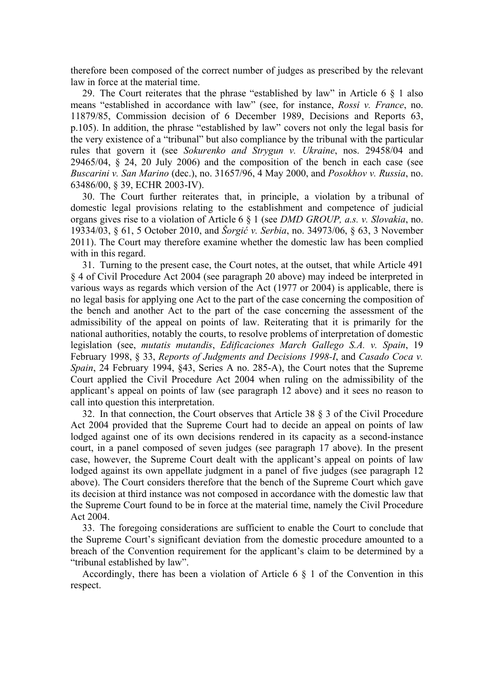therefore been composed of the correct number of judges as prescribed by the relevant law in force at the material time.

29. The Court reiterates that the phrase "established by law" in Article 6 § 1 also means "established in accordance with law" (see, for instance, *Rossi v. France*, no. 11879/85, Commission decision of 6 December 1989, Decisions and Reports 63, p.105). In addition, the phrase "established by law" covers not only the legal basis for the very existence of a "tribunal" but also compliance by the tribunal with the particular rules that govern it (see *Sokurenko and Strygun v. Ukraine*, nos. 29458/04 and 29465/04, § 24, 20 July 2006) and the composition of the bench in each case (see *Buscarini v. San Marino* (dec.), no. 31657/96, 4 May 2000, and *Posokhov v. Russia*, no. 63486/00, § 39, ECHR 2003-IV).

30. The Court further reiterates that, in principle, a violation by a tribunal of domestic legal provisions relating to the establishment and competence of judicial organs gives rise to a violation of Article 6 § 1 (see *DMD GROUP, a.s. v. Slovakia*, no. 19334/03, § 61, 5 October 2010, and *Šorgić v. Serbia*, no. 34973/06, § 63, 3 November 2011). The Court may therefore examine whether the domestic law has been complied with in this regard.

31. Turning to the present case, the Court notes, at the outset, that while Article 491 § 4 of Civil Procedure Act 2004 (see paragraph 20 above) may indeed be interpreted in various ways as regards which version of the Act (1977 or 2004) is applicable, there is no legal basis for applying one Act to the part of the case concerning the composition of the bench and another Act to the part of the case concerning the assessment of the admissibility of the appeal on points of law. Reiterating that it is primarily for the national authorities, notably the courts, to resolve problems of interpretation of domestic legislation (see, *mutatis mutandis*, *Edificaciones March Gallego S.A. v. Spain*, 19 February 1998, § 33, *Reports of Judgments and Decisions 1998-I*, and *Casado Coca v. Spain*, 24 February 1994, §43, Series A no. 285-A), the Court notes that the Supreme Court applied the Civil Procedure Act 2004 when ruling on the admissibility of the applicant's appeal on points of law (see paragraph 12 above) and it sees no reason to call into question this interpretation.

32. In that connection, the Court observes that Article 38 § 3 of the Civil Procedure Act 2004 provided that the Supreme Court had to decide an appeal on points of law lodged against one of its own decisions rendered in its capacity as a second-instance court, in a panel composed of seven judges (see paragraph 17 above). In the present case, however, the Supreme Court dealt with the applicant's appeal on points of law lodged against its own appellate judgment in a panel of five judges (see paragraph 12 above). The Court considers therefore that the bench of the Supreme Court which gave its decision at third instance was not composed in accordance with the domestic law that the Supreme Court found to be in force at the material time, namely the Civil Procedure Act 2004.

33. The foregoing considerations are sufficient to enable the Court to conclude that the Supreme Court's significant deviation from the domestic procedure amounted to a breach of the Convention requirement for the applicant's claim to be determined by a "tribunal established by law".

Accordingly, there has been a violation of Article 6 § 1 of the Convention in this respect.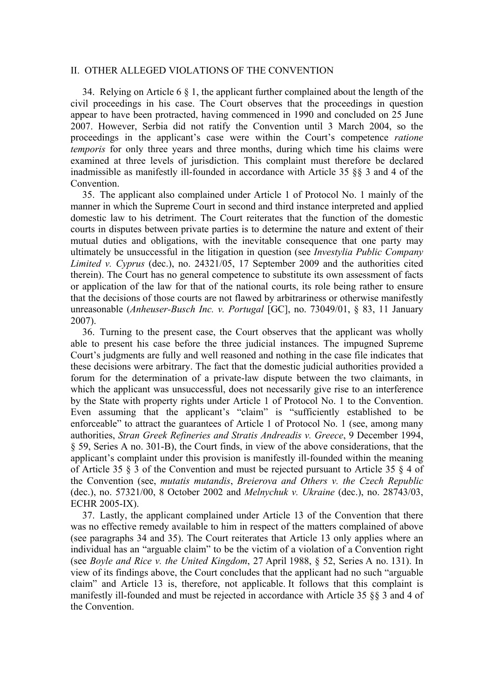## II. OTHER ALLEGED VIOLATIONS OF THE CONVENTION

34. Relying on Article 6 § 1, the applicant further complained about the length of the civil proceedings in his case. The Court observes that the proceedings in question appear to have been protracted, having commenced in 1990 and concluded on 25 June 2007. However, Serbia did not ratify the Convention until 3 March 2004, so the proceedings in the applicant's case were within the Court's competence *ratione temporis* for only three years and three months, during which time his claims were examined at three levels of jurisdiction. This complaint must therefore be declared inadmissible as manifestly ill-founded in accordance with Article 35 §§ 3 and 4 of the **Convention** 

35. The applicant also complained under Article 1 of Protocol No. 1 mainly of the manner in which the Supreme Court in second and third instance interpreted and applied domestic law to his detriment. The Court reiterates that the function of the domestic courts in disputes between private parties is to determine the nature and extent of their mutual duties and obligations, with the inevitable consequence that one party may ultimately be unsuccessful in the litigation in question (see *Investylia Public Company Limited v. Cyprus* (dec.), no. 24321/05, 17 September 2009 and the authorities cited therein). The Court has no general competence to substitute its own assessment of facts or application of the law for that of the national courts, its role being rather to ensure that the decisions of those courts are not flawed by arbitrariness or otherwise manifestly unreasonable (*Anheuser-Busch Inc. v. Portugal* [GC], no. 73049/01, § 83, 11 January 2007).

36. Turning to the present case, the Court observes that the applicant was wholly able to present his case before the three judicial instances. The impugned Supreme Court's judgments are fully and well reasoned and nothing in the case file indicates that these decisions were arbitrary. The fact that the domestic judicial authorities provided a forum for the determination of a private-law dispute between the two claimants, in which the applicant was unsuccessful, does not necessarily give rise to an interference by the State with property rights under Article 1 of Protocol No. 1 to the Convention. Even assuming that the applicant's "claim" is "sufficiently established to be enforceable" to attract the guarantees of Article 1 of Protocol No. 1 (see, among many authorities, *Stran Greek Refineries and Stratis Andreadis v. Greece*, 9 December 1994, § 59, Series A no. 301-B), the Court finds, in view of the above considerations, that the applicant's complaint under this provision is manifestly ill-founded within the meaning of Article 35 § 3 of the Convention and must be rejected pursuant to Article 35 § 4 of the Convention (see, *mutatis mutandis*, *Breierova and Others v. the Czech Republic* (dec.), no. 57321/00, 8 October 2002 and *Melnychuk v. Ukraine* (dec.), no. 28743/03, ECHR 2005-IX).

37. Lastly, the applicant complained under Article 13 of the Convention that there was no effective remedy available to him in respect of the matters complained of above (see paragraphs 34 and 35). The Court reiterates that Article 13 only applies where an individual has an "arguable claim" to be the victim of a violation of a Convention right (see *Boyle and Rice v. the United Kingdom*, 27 April 1988, § 52, Series A no. 131). In view of its findings above, the Court concludes that the applicant had no such "arguable claim" and Article 13 is, therefore, not applicable. It follows that this complaint is manifestly ill-founded and must be rejected in accordance with Article 35 §§ 3 and 4 of the Convention.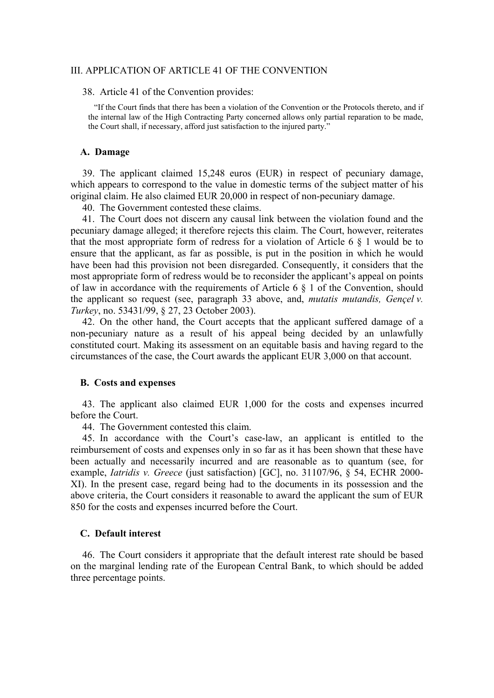## III. APPLICATION OF ARTICLE 41 OF THE CONVENTION

38. Article 41 of the Convention provides:

"If the Court finds that there has been a violation of the Convention or the Protocols thereto, and if the internal law of the High Contracting Party concerned allows only partial reparation to be made, the Court shall, if necessary, afford just satisfaction to the injured party."

#### **A. Damage**

39. The applicant claimed 15,248 euros (EUR) in respect of pecuniary damage, which appears to correspond to the value in domestic terms of the subject matter of his original claim. He also claimed EUR 20,000 in respect of non-pecuniary damage.

40. The Government contested these claims.

41. The Court does not discern any causal link between the violation found and the pecuniary damage alleged; it therefore rejects this claim. The Court, however, reiterates that the most appropriate form of redress for a violation of Article  $6 \& 1$  would be to ensure that the applicant, as far as possible, is put in the position in which he would have been had this provision not been disregarded. Consequently, it considers that the most appropriate form of redress would be to reconsider the applicant's appeal on points of law in accordance with the requirements of Article 6 § 1 of the Convention, should the applicant so request (see, paragraph 33 above, and, *mutatis mutandis, Gençel v. Turkey*, no. 53431/99, § 27, 23 October 2003).

42. On the other hand, the Court accepts that the applicant suffered damage of a non-pecuniary nature as a result of his appeal being decided by an unlawfully constituted court. Making its assessment on an equitable basis and having regard to the circumstances of the case, the Court awards the applicant EUR 3,000 on that account.

#### **B. Costs and expenses**

43. The applicant also claimed EUR 1,000 for the costs and expenses incurred before the Court.

44. The Government contested this claim.

45. In accordance with the Court's case-law, an applicant is entitled to the reimbursement of costs and expenses only in so far as it has been shown that these have been actually and necessarily incurred and are reasonable as to quantum (see, for example, *Iatridis v. Greece* (just satisfaction) [GC], no. 31107/96, § 54, ECHR 2000- XI). In the present case, regard being had to the documents in its possession and the above criteria, the Court considers it reasonable to award the applicant the sum of EUR 850 for the costs and expenses incurred before the Court.

#### **C. Default interest**

46. The Court considers it appropriate that the default interest rate should be based on the marginal lending rate of the European Central Bank, to which should be added three percentage points.